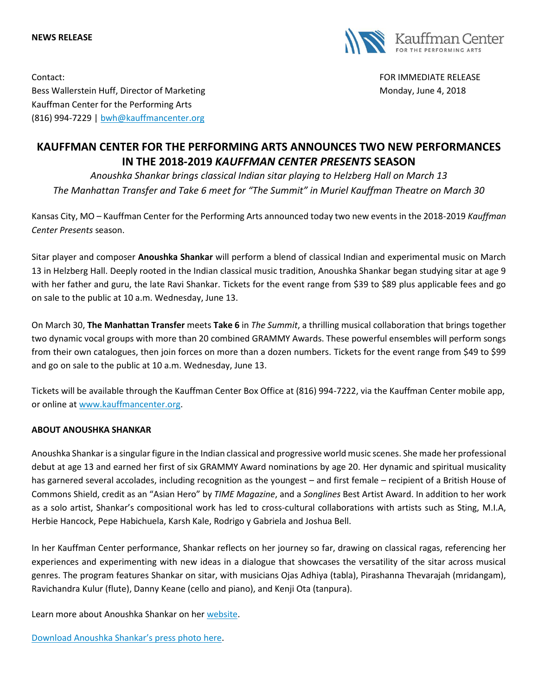



Contact: FOR IMMEDIATE RELEASE Bess Wallerstein Huff, Director of Marketing Monday, June 4, 2018 Kauffman Center for the Performing Arts (816) 994-7229 | [bwh@kauffmancenter.org](mailto:bwh@kauffmancenter.org)

# **KAUFFMAN CENTER FOR THE PERFORMING ARTS ANNOUNCES TWO NEW PERFORMANCES IN THE 2018-2019** *KAUFFMAN CENTER PRESENTS* **SEASON**

*Anoushka Shankar brings classical Indian sitar playing to Helzberg Hall on March 13 The Manhattan Transfer and Take 6 meet for "The Summit" in Muriel Kauffman Theatre on March 30*

Kansas City, MO – Kauffman Center for the Performing Arts announced today two new events in the 2018-2019 *Kauffman Center Presents* season.

Sitar player and composer **Anoushka Shankar** will perform a blend of classical Indian and experimental music on March 13 in Helzberg Hall. Deeply rooted in the Indian classical music tradition, Anoushka Shankar began studying sitar at age 9 with her father and guru, the late Ravi Shankar. Tickets for the event range from \$39 to \$89 plus applicable fees and go on sale to the public at 10 a.m. Wednesday, June 13.

On March 30, **The Manhattan Transfer** meets **Take 6** in *The Summit*, a thrilling musical collaboration that brings together two dynamic vocal groups with more than 20 combined GRAMMY Awards. These powerful ensembles will perform songs from their own catalogues, then join forces on more than a dozen numbers. Tickets for the event range from \$49 to \$99 and go on sale to the public at 10 a.m. Wednesday, June 13.

Tickets will be available through the Kauffman Center Box Office at (816) 994-7222, via the Kauffman Center mobile app, or online at [www.kauffmancenter.org.](http://www.kauffmancenter.org/)

# **ABOUT ANOUSHKA SHANKAR**

Anoushka Shankar is a singular figure in the Indian classical and progressive world music scenes. She made her professional debut at age 13 and earned her first of six GRAMMY Award nominations by age 20. Her dynamic and spiritual musicality has garnered several accolades, including recognition as the youngest – and first female – recipient of a British House of Commons Shield, credit as an "Asian Hero" by *TIME Magazine*, and a *Songlines* Best Artist Award. In addition to her work as a solo artist, Shankar's compositional work has led to cross-cultural collaborations with artists such as Sting, M.I.A, Herbie Hancock, Pepe Habichuela, Karsh Kale, Rodrigo y Gabriela and Joshua Bell.

In her Kauffman Center performance, Shankar reflects on her journey so far, drawing on classical ragas, referencing her experiences and experimenting with new ideas in a dialogue that showcases the versatility of the sitar across musical genres. The program features Shankar on sitar, with musicians Ojas Adhiya (tabla), Pirashanna Thevarajah (mridangam), Ravichandra Kulur (flute), Danny Keane (cello and piano), and Kenji Ota (tanpura).

Learn more about Anoushka Shankar on her [website.](http://www.anoushkashankar.com/)

Download [Anoushka Shankar's](https://www.flickr.com/photos/kauffmancenter/40391269390/in/album-72157666886914008/) press photo here.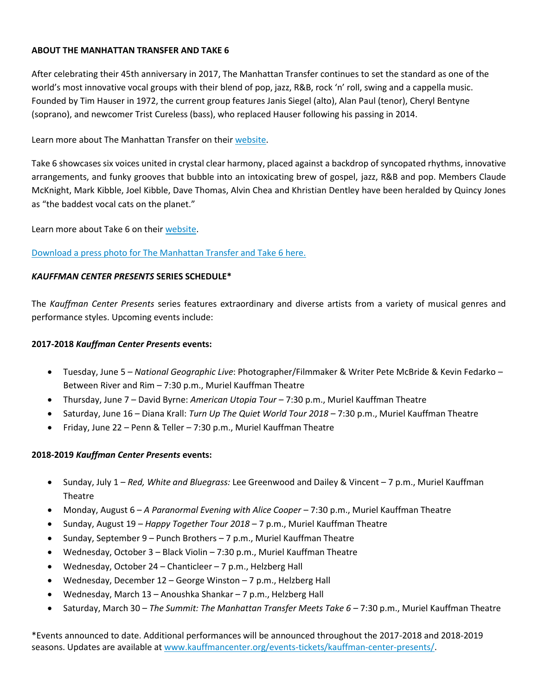#### **ABOUT THE MANHATTAN TRANSFER AND TAKE 6**

After celebrating their 45th anniversary in 2017, The Manhattan Transfer continues to set the standard as one of the world's most innovative vocal groups with their blend of pop, jazz, R&B, rock 'n' roll, swing and a cappella music. Founded by Tim Hauser in 1972, the current group features Janis Siegel (alto), Alan Paul (tenor), Cheryl Bentyne (soprano), and newcomer Trist Cureless (bass), who replaced Hauser following his passing in 2014.

Learn more about The Manhattan Transfer on thei[r website.](http://manhattantransfer.net/)

Take 6 showcases six voices united in crystal clear harmony, placed against a backdrop of syncopated rhythms, innovative arrangements, and funky grooves that bubble into an intoxicating brew of gospel, jazz, R&B and pop. Members Claude McKnight, Mark Kibble, Joel Kibble, Dave Thomas, Alvin Chea and Khristian Dentley have been heralded by Quincy Jones as "the baddest vocal cats on the planet."

Learn more about Take 6 on their [website.](http://take6.com/)

## [Download a press photo for The Manhattan Transfer and Take 6 here.](https://www.flickr.com/photos/kauffmancenter/41476951554/in/album-72157666886914008/)

#### *KAUFFMAN CENTER PRESENTS* **SERIES SCHEDULE\***

The *Kauffman Center Presents* series features extraordinary and diverse artists from a variety of musical genres and performance styles. Upcoming events include:

## **2017-2018** *Kauffman Center Presents* **events:**

- Tuesday, June 5 *National Geographic Live*: Photographer/Filmmaker & Writer Pete McBride & Kevin Fedarko Between River and Rim – 7:30 p.m., Muriel Kauffman Theatre
- Thursday, June 7 David Byrne: *American Utopia Tour* 7:30 p.m., Muriel Kauffman Theatre
- Saturday, June 16 Diana Krall: *Turn Up The Quiet World Tour 2018* 7:30 p.m., Muriel Kauffman Theatre
- Friday, June 22 Penn & Teller 7:30 p.m., Muriel Kauffman Theatre

# **2018-2019** *Kauffman Center Presents* **events:**

- Sunday, July 1 *Red, White and Bluegrass:* Lee Greenwood and Dailey & Vincent 7 p.m., Muriel Kauffman Theatre
- Monday, August 6 *A Paranormal Evening with Alice Cooper* 7:30 p.m., Muriel Kauffman Theatre
- Sunday, August 19 *Happy Together Tour 2018* 7 p.m., Muriel Kauffman Theatre
- Sunday, September 9 Punch Brothers 7 p.m., Muriel Kauffman Theatre
- Wednesday, October 3 Black Violin 7:30 p.m., Muriel Kauffman Theatre
- Wednesday, October 24 Chanticleer 7 p.m., Helzberg Hall
- Wednesday, December 12 George Winston 7 p.m., Helzberg Hall
- Wednesday, March 13 Anoushka Shankar 7 p.m., Helzberg Hall
- Saturday, March 30 *The Summit: The Manhattan Transfer Meets Take 6* 7:30 p.m., Muriel Kauffman Theatre

\*Events announced to date. Additional performances will be announced throughout the 2017-2018 and 2018-2019 seasons. Updates are available at [www.kauffmancenter.org/events-tickets/kauffman-center-presents/.](http://www.kauffmancenter.org/events-tickets/kauffman-center-presents/)